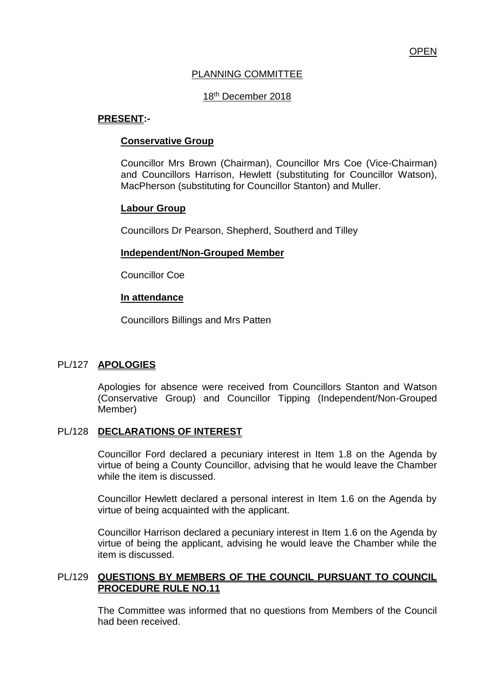# PLANNING COMMITTEE

# 18th December 2018

#### **PRESENT:-**

#### **Conservative Group**

Councillor Mrs Brown (Chairman), Councillor Mrs Coe (Vice-Chairman) and Councillors Harrison, Hewlett (substituting for Councillor Watson), MacPherson (substituting for Councillor Stanton) and Muller.

#### **Labour Group**

Councillors Dr Pearson, Shepherd, Southerd and Tilley

#### **Independent/Non-Grouped Member**

Councillor Coe

#### **In attendance**

Councillors Billings and Mrs Patten

# PL/127 **APOLOGIES**

Apologies for absence were received from Councillors Stanton and Watson (Conservative Group) and Councillor Tipping (Independent/Non-Grouped Member)

# PL/128 **DECLARATIONS OF INTEREST**

Councillor Ford declared a pecuniary interest in Item 1.8 on the Agenda by virtue of being a County Councillor, advising that he would leave the Chamber while the item is discussed.

Councillor Hewlett declared a personal interest in Item 1.6 on the Agenda by virtue of being acquainted with the applicant.

Councillor Harrison declared a pecuniary interest in Item 1.6 on the Agenda by virtue of being the applicant, advising he would leave the Chamber while the item is discussed.

# PL/129 **QUESTIONS BY MEMBERS OF THE COUNCIL PURSUANT TO COUNCIL PROCEDURE RULE NO.11**

The Committee was informed that no questions from Members of the Council had been received.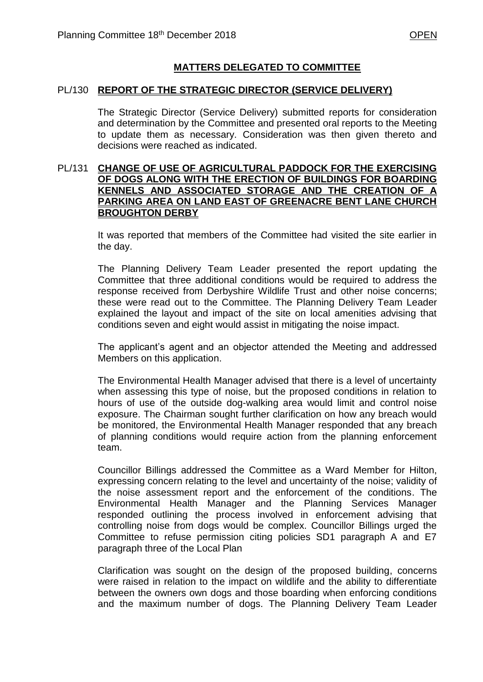# **MATTERS DELEGATED TO COMMITTEE**

#### PL/130 **REPORT OF THE STRATEGIC DIRECTOR (SERVICE DELIVERY)**

The Strategic Director (Service Delivery) submitted reports for consideration and determination by the Committee and presented oral reports to the Meeting to update them as necessary. Consideration was then given thereto and decisions were reached as indicated.

#### PL/131 **CHANGE OF USE OF AGRICULTURAL PADDOCK FOR THE EXERCISING OF DOGS ALONG WITH THE ERECTION OF BUILDINGS FOR BOARDING KENNELS AND ASSOCIATED STORAGE AND THE CREATION OF A PARKING AREA ON LAND EAST OF GREENACRE BENT LANE CHURCH BROUGHTON DERBY**

It was reported that members of the Committee had visited the site earlier in the day.

The Planning Delivery Team Leader presented the report updating the Committee that three additional conditions would be required to address the response received from Derbyshire Wildlife Trust and other noise concerns; these were read out to the Committee. The Planning Delivery Team Leader explained the layout and impact of the site on local amenities advising that conditions seven and eight would assist in mitigating the noise impact.

The applicant's agent and an objector attended the Meeting and addressed Members on this application.

The Environmental Health Manager advised that there is a level of uncertainty when assessing this type of noise, but the proposed conditions in relation to hours of use of the outside dog-walking area would limit and control noise exposure. The Chairman sought further clarification on how any breach would be monitored, the Environmental Health Manager responded that any breach of planning conditions would require action from the planning enforcement team.

Councillor Billings addressed the Committee as a Ward Member for Hilton, expressing concern relating to the level and uncertainty of the noise; validity of the noise assessment report and the enforcement of the conditions. The Environmental Health Manager and the Planning Services Manager responded outlining the process involved in enforcement advising that controlling noise from dogs would be complex. Councillor Billings urged the Committee to refuse permission citing policies SD1 paragraph A and E7 paragraph three of the Local Plan

Clarification was sought on the design of the proposed building, concerns were raised in relation to the impact on wildlife and the ability to differentiate between the owners own dogs and those boarding when enforcing conditions and the maximum number of dogs. The Planning Delivery Team Leader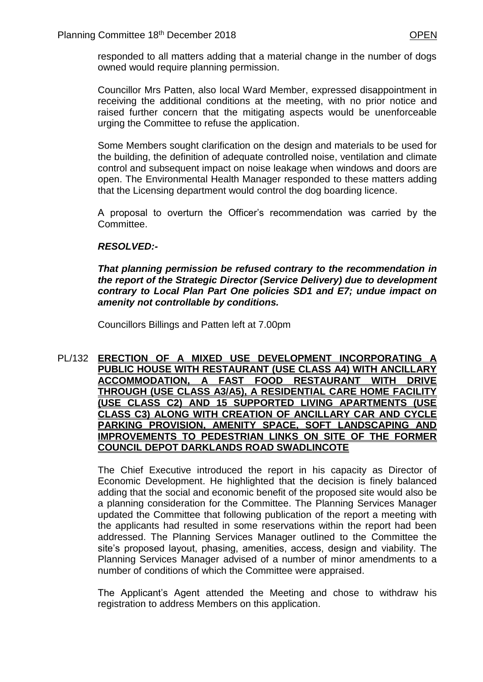responded to all matters adding that a material change in the number of dogs owned would require planning permission.

Councillor Mrs Patten, also local Ward Member, expressed disappointment in receiving the additional conditions at the meeting, with no prior notice and raised further concern that the mitigating aspects would be unenforceable urging the Committee to refuse the application.

Some Members sought clarification on the design and materials to be used for the building, the definition of adequate controlled noise, ventilation and climate control and subsequent impact on noise leakage when windows and doors are open. The Environmental Health Manager responded to these matters adding that the Licensing department would control the dog boarding licence.

A proposal to overturn the Officer's recommendation was carried by the Committee.

# *RESOLVED:-*

*That planning permission be refused contrary to the recommendation in the report of the Strategic Director (Service Delivery) due to development contrary to Local Plan Part One policies SD1 and E7; undue impact on amenity not controllable by conditions.*

Councillors Billings and Patten left at 7.00pm

# PL/132 **ERECTION OF A MIXED USE DEVELOPMENT INCORPORATING A PUBLIC HOUSE WITH RESTAURANT (USE CLASS A4) WITH ANCILLARY ACCOMMODATION, A FAST FOOD RESTAURANT WITH DRIVE THROUGH (USE CLASS A3/A5), A RESIDENTIAL CARE HOME FACILITY (USE CLASS C2) AND 15 SUPPORTED LIVING APARTMENTS (USE CLASS C3) ALONG WITH CREATION OF ANCILLARY CAR AND CYCLE PARKING PROVISION, AMENITY SPACE, SOFT LANDSCAPING AND IMPROVEMENTS TO PEDESTRIAN LINKS ON SITE OF THE FORMER COUNCIL DEPOT DARKLANDS ROAD SWADLINCOTE**

The Chief Executive introduced the report in his capacity as Director of Economic Development. He highlighted that the decision is finely balanced adding that the social and economic benefit of the proposed site would also be a planning consideration for the Committee. The Planning Services Manager updated the Committee that following publication of the report a meeting with the applicants had resulted in some reservations within the report had been addressed. The Planning Services Manager outlined to the Committee the site's proposed layout, phasing, amenities, access, design and viability. The Planning Services Manager advised of a number of minor amendments to a number of conditions of which the Committee were appraised.

The Applicant's Agent attended the Meeting and chose to withdraw his registration to address Members on this application.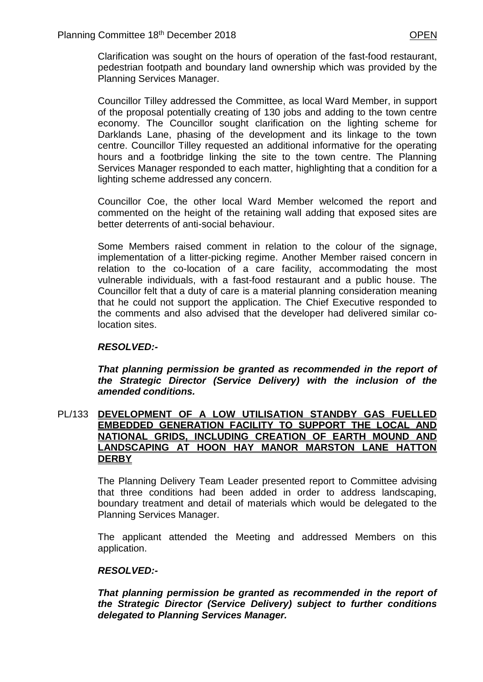Clarification was sought on the hours of operation of the fast-food restaurant, pedestrian footpath and boundary land ownership which was provided by the Planning Services Manager.

Councillor Tilley addressed the Committee, as local Ward Member, in support of the proposal potentially creating of 130 jobs and adding to the town centre economy. The Councillor sought clarification on the lighting scheme for Darklands Lane, phasing of the development and its linkage to the town centre. Councillor Tilley requested an additional informative for the operating hours and a footbridge linking the site to the town centre. The Planning Services Manager responded to each matter, highlighting that a condition for a lighting scheme addressed any concern.

Councillor Coe, the other local Ward Member welcomed the report and commented on the height of the retaining wall adding that exposed sites are better deterrents of anti-social behaviour.

Some Members raised comment in relation to the colour of the signage, implementation of a litter-picking regime. Another Member raised concern in relation to the co-location of a care facility, accommodating the most vulnerable individuals, with a fast-food restaurant and a public house. The Councillor felt that a duty of care is a material planning consideration meaning that he could not support the application. The Chief Executive responded to the comments and also advised that the developer had delivered similar colocation sites.

# *RESOLVED:-*

*That planning permission be granted as recommended in the report of the Strategic Director (Service Delivery) with the inclusion of the amended conditions.*

#### PL/133 **DEVELOPMENT OF A LOW UTILISATION STANDBY GAS FUELLED EMBEDDED GENERATION FACILITY TO SUPPORT THE LOCAL AND NATIONAL GRIDS, INCLUDING CREATION OF EARTH MOUND AND LANDSCAPING AT HOON HAY MANOR MARSTON LANE HATTON DERBY**

The Planning Delivery Team Leader presented report to Committee advising that three conditions had been added in order to address landscaping, boundary treatment and detail of materials which would be delegated to the Planning Services Manager.

The applicant attended the Meeting and addressed Members on this application.

# *RESOLVED:-*

*That planning permission be granted as recommended in the report of the Strategic Director (Service Delivery) subject to further conditions delegated to Planning Services Manager.*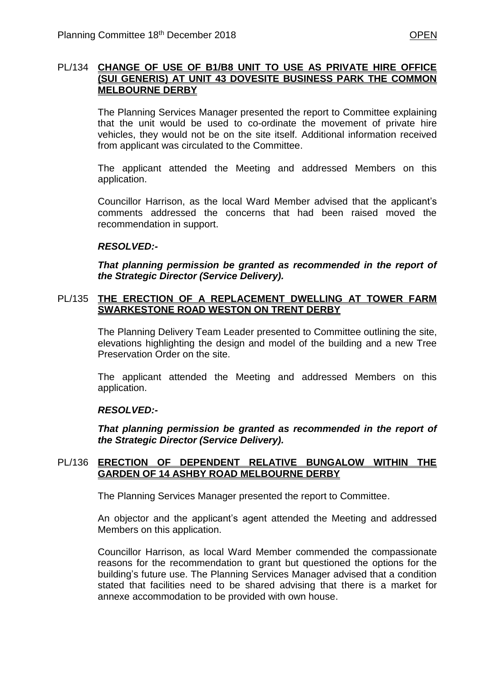# PL/134 **CHANGE OF USE OF B1/B8 UNIT TO USE AS PRIVATE HIRE OFFICE (SUI GENERIS) AT UNIT 43 DOVESITE BUSINESS PARK THE COMMON MELBOURNE DERBY**

The Planning Services Manager presented the report to Committee explaining that the unit would be used to co-ordinate the movement of private hire vehicles, they would not be on the site itself. Additional information received from applicant was circulated to the Committee.

The applicant attended the Meeting and addressed Members on this application.

Councillor Harrison, as the local Ward Member advised that the applicant's comments addressed the concerns that had been raised moved the recommendation in support.

# *RESOLVED:-*

*That planning permission be granted as recommended in the report of the Strategic Director (Service Delivery).*

#### PL/135 **THE ERECTION OF A REPLACEMENT DWELLING AT TOWER FARM SWARKESTONE ROAD WESTON ON TRENT DERBY**

The Planning Delivery Team Leader presented to Committee outlining the site, elevations highlighting the design and model of the building and a new Tree Preservation Order on the site.

The applicant attended the Meeting and addressed Members on this application.

#### *RESOLVED:-*

*That planning permission be granted as recommended in the report of the Strategic Director (Service Delivery).*

#### PL/136 **ERECTION OF DEPENDENT RELATIVE BUNGALOW WITHIN THE GARDEN OF 14 ASHBY ROAD MELBOURNE DERBY**

The Planning Services Manager presented the report to Committee.

An objector and the applicant's agent attended the Meeting and addressed Members on this application.

Councillor Harrison, as local Ward Member commended the compassionate reasons for the recommendation to grant but questioned the options for the building's future use. The Planning Services Manager advised that a condition stated that facilities need to be shared advising that there is a market for annexe accommodation to be provided with own house.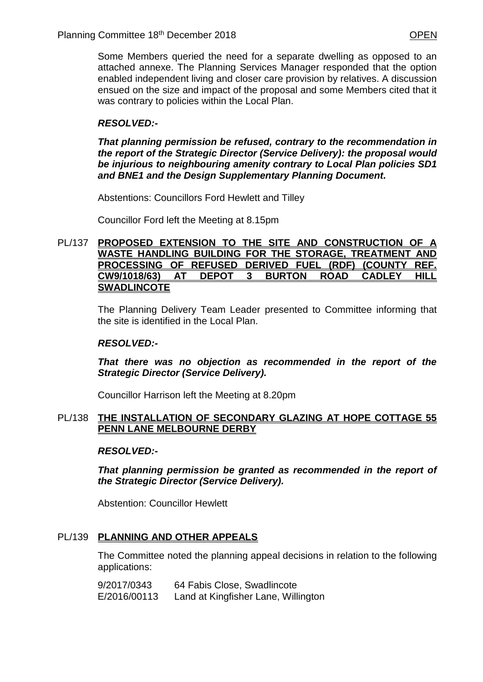Some Members queried the need for a separate dwelling as opposed to an attached annexe. The Planning Services Manager responded that the option enabled independent living and closer care provision by relatives. A discussion ensued on the size and impact of the proposal and some Members cited that it was contrary to policies within the Local Plan.

# *RESOLVED:-*

*That planning permission be refused, contrary to the recommendation in the report of the Strategic Director (Service Delivery): the proposal would be injurious to neighbouring amenity contrary to Local Plan policies SD1 and BNE1 and the Design Supplementary Planning Document.*

Abstentions: Councillors Ford Hewlett and Tilley

Councillor Ford left the Meeting at 8.15pm

#### PL/137 **PROPOSED EXTENSION TO THE SITE AND CONSTRUCTION OF A WASTE HANDLING BUILDING FOR THE STORAGE, TREATMENT AND PROCESSING OF REFUSED DERIVED FUEL (RDF) (COUNTY REF. CW9/1018/63) AT DEPOT 3 BURTON ROAD CADLEY HILL SWADLINCOTE**

The Planning Delivery Team Leader presented to Committee informing that the site is identified in the Local Plan.

# *RESOLVED:-*

*That there was no objection as recommended in the report of the Strategic Director (Service Delivery).*

Councillor Harrison left the Meeting at 8.20pm

# PL/138 **THE INSTALLATION OF SECONDARY GLAZING AT HOPE COTTAGE 55 PENN LANE MELBOURNE DERBY**

# *RESOLVED:-*

*That planning permission be granted as recommended in the report of the Strategic Director (Service Delivery).*

Abstention: Councillor Hewlett

# PL/139 **PLANNING AND OTHER APPEALS**

The Committee noted the planning appeal decisions in relation to the following applications:

| 9/2017/0343  | 64 Fabis Close, Swadlincote         |
|--------------|-------------------------------------|
| E/2016/00113 | Land at Kingfisher Lane, Willington |